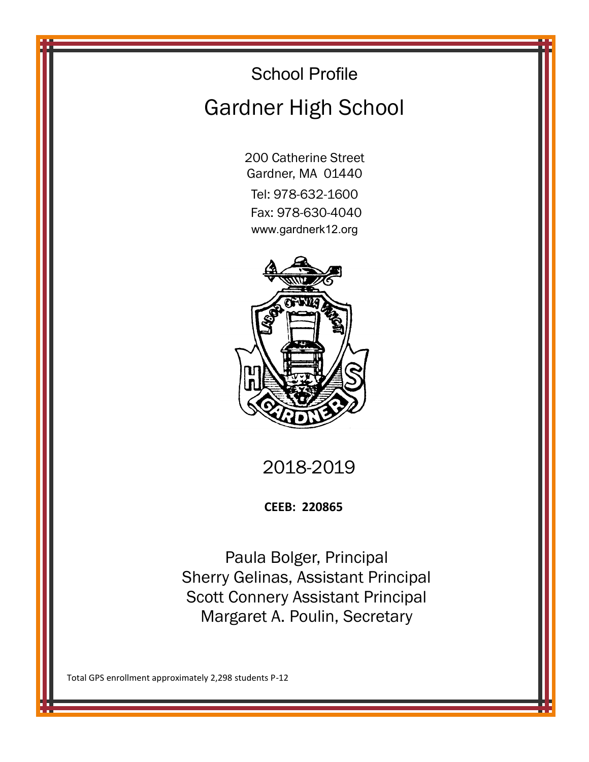# School Profile Gardner High School

200 Catherine Street Gardner, MA 01440

Tel: 978-632-1600 Fax: 978-630-4040 www.gardnerk12.org



2018-2019

**CEEB: 220865**

Paula Bolger, Principal Sherry Gelinas, Assistant Principal Scott Connery Assistant Principal Margaret A. Poulin, Secretary

Total GPS enrollment approximately 2,298 students P-12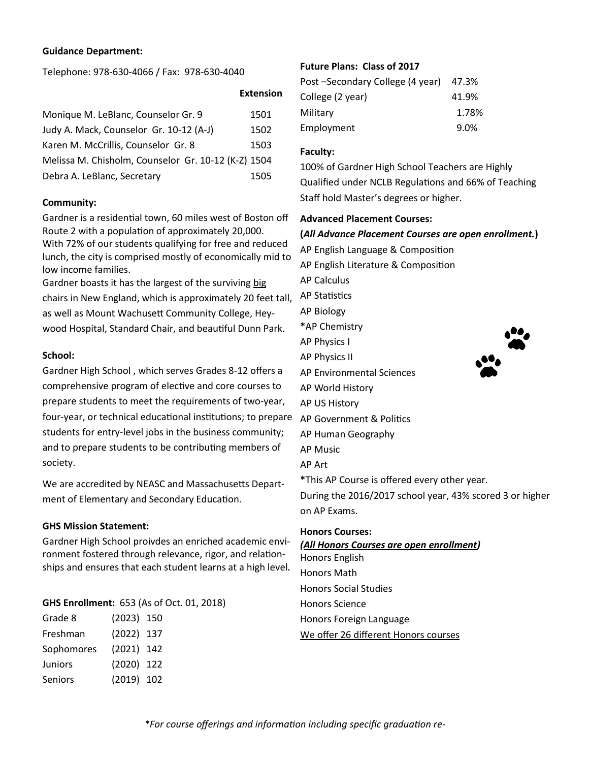# **Guidance Department:**

Telephone: 978-630-4066 / Fax: 978-630-4040

| Monique M. LeBlanc, Counselor Gr. 9                 | 1501 |  |
|-----------------------------------------------------|------|--|
| Judy A. Mack, Counselor Gr. 10-12 (A-J)             | 1502 |  |
| Karen M. McCrillis, Counselor Gr. 8                 | 1503 |  |
| Melissa M. Chisholm, Counselor Gr. 10-12 (K-Z) 1504 |      |  |
| Debra A. LeBlanc, Secretary                         | 1505 |  |

# **Community:**

Gardner is a residential town, 60 miles west of Boston off Route 2 with a population of approximately 20,000. With 72% of our students qualifying for free and reduced lunch, the city is comprised mostly of economically mid to low income families.

Gardner boasts it has the largest of the surviving [big](http://www.roadsideamerica.com/set/CIVIchair.html)  [chairs](http://www.roadsideamerica.com/set/CIVIchair.html) in New England, which is approximately 20 feet tall, as well as Mount Wachusett Community College, Heywood Hospital, Standard Chair, and beautiful Dunn Park.

# **School:**

Gardner High School , which serves Grades 8-12 offers a comprehensive program of elective and core courses to prepare students to meet the requirements of two-year, four-year, or technical educational institutions; to prepare students for entry-level jobs in the business community; and to prepare students to be contributing members of society.

We are accredited by NEASC and Massachusetts Department of Elementary and Secondary Education.

# **GHS Mission Statement:**

Gardner High School proivdes an enriched academic environment fostered through relevance, rigor, and relationships and ensures that each student learns at a high level**.**

# **GHS Enrollment:** 653 (As of Oct. 01, 2018)

| Grade 8        | $(2023)$ 150 |  |
|----------------|--------------|--|
| Freshman       | $(2022)$ 137 |  |
| Sophomores     | $(2021)$ 142 |  |
| <b>Juniors</b> | $(2020)$ 122 |  |
| <b>Seniors</b> | $(2019)$ 102 |  |
|                |              |  |

# **Future Plans: Class of 2017**

| Post -Secondary College (4 year) 47.3% |       |
|----------------------------------------|-------|
| College (2 year)                       | 41.9% |
| Military                               | 1.78% |
| Employment                             | 9.0%  |

# **Faculty:**

100% of Gardner High School Teachers are Highly Qualified under NCLB Regulations and 66% of Teaching Staff hold Master's degrees or higher.

# **Advanced Placement Courses:**

# **(***All Advance Placement Courses are open enrollment.***)**

AP English Language & Composition AP English Literature & Composition AP Calculus AP Statistics AP Biology **\***AP Chemistry AP Physics I AP Physics II AP Environmental Sciences AP World History AP US History AP Government & Politics AP Human Geography AP Music AP Art **\***This AP Course is offered every other year. During the 2016/2017 school year, 43% scored 3 or higher on AP Exams.

## **Honors Courses:**

*(All Honors Courses are open enrollment)* Honors English Honors Math Honors Social Studies Honors Science Honors Foreign Language We offer 26 different Honors courses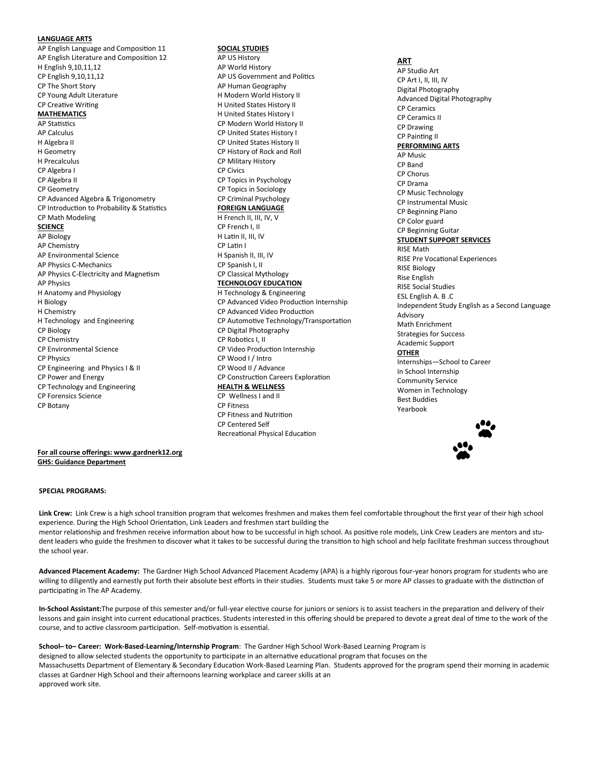#### **LANGUAGE ARTS**

AP English Language and Composition 11 AP English Literature and Composition 12 H English 9,10,11,12 CP English 9,10,11,12 CP The Short Story CP Young Adult Literature CP Creative Writing **MATHEMATICS** AP Statistics AP Calculus H Algebra II H Geometry H Precalculus CP Algebra I CP Algebra II CP Geometry CP Advanced Algebra & Trigonometry CP Introduction to Probability & Statistics CP Math Modeling **SCIENCE** AP Biology AP Chemistry AP Environmental Science AP Physics C-Mechanics AP Physics C-Electricity and Magnetism AP Physics H Anatomy and Physiology H Biology H Chemistry H Technology and Engineering CP Biology CP Chemistry CP Environmental Science CP Physics CP Engineering and Physics I & II CP Power and Energy CP Technology and Engineering CP Forensics Science CP Botany

#### **SOCIAL STUDIES**

AP US History AP World History AP US Government and Politics AP Human Geography H Modern World History II H United States History II H United States History I CP Modern World History II CP United States History I CP United States History II CP History of Rock and Roll CP Military History CP Civics CP Topics in Psychology CP Topics in Sociology CP Criminal Psychology **FOREIGN LANGUAGE** H French II, III, IV, V CP French I, II H Latin II, III, IV CP Latin I H Spanish II, III, IV CP Spanish I, II CP Classical Mythology **TECHNOLOGY EDUCATION** H Technology & Engineering CP Advanced Video Production Internship CP Advanced Video Production CP Automotive Technology/Transportation CP Digital Photography CP Robotics I, II CP Video Production Internship CP Wood I / Intro CP Wood II / Advance CP Construction Careers Exploration **HEALTH & WELLNESS** CP Wellness I and II CP Fitness CP Fitness and Nutrition CP Centered Self Recreational Physical Education

**ART** AP Studio Art CP Art I, II, III, IV Digital Photography Advanced Digital Photography CP Ceramics CP Ceramics II CP Drawing CP Painting II **PERFORMING ARTS** AP Music CP Band CP Chorus CP Drama CP Music Technology CP Instrumental Music CP Beginning Piano CP Color guard CP Beginning Guitar **STUDENT SUPPORT SERVICES** RISE Math RISE Pre Vocational Experiences RISE Biology Rise English RISE Social Studies ESL English A. B .C Independent Study English as a Second Language Advisory Math Enrichment Strategies for Success Academic Support **OTHER** Internships—School to Career In School Internship Community Service Women in Technology Best Buddies Yearbook



#### **For all course offerings: www.gardnerk12.org GHS: Guidance Department**

#### **SPECIAL PROGRAMS:**

**Link Crew:** Link Crew is a high school transition program that welcomes freshmen and makes them feel comfortable throughout the first year of their high school experience. During the High School Orientation, Link Leaders and freshmen start building the mentor relationship and freshmen receive information about how to be successful in high school. As positive role models, Link Crew Leaders are mentors and student leaders who guide the freshmen to discover what it takes to be successful during the transition to high school and help facilitate freshman success throughout the school year.

**Advanced Placement Academy:** The Gardner High School Advanced Placement Academy (APA) is a highly rigorous four-year honors program for students who are willing to diligently and earnestly put forth their absolute best efforts in their studies. Students must take 5 or more AP classes to graduate with the distinction of participating in The AP Academy.

**In-School Assistant:**The purpose of this semester and/or full-year elective course for juniors or seniors is to assist teachers in the preparation and delivery of their lessons and gain insight into current educational practices. Students interested in this offering should be prepared to devote a great deal of time to the work of the course, and to active classroom participation. Self-motivation is essential.

**School– to– Career: Work-Based-Learning/Internship Program**: The Gardner High School Work-Based Learning Program is

designed to allow selected students the opportunity to participate in an alternative educational program that focuses on the

Massachusetts Department of Elementary & Secondary Education Work-Based Learning Plan. Students approved for the program spend their morning in academic classes at Gardner High School and their afternoons learning workplace and career skills at an approved work site.